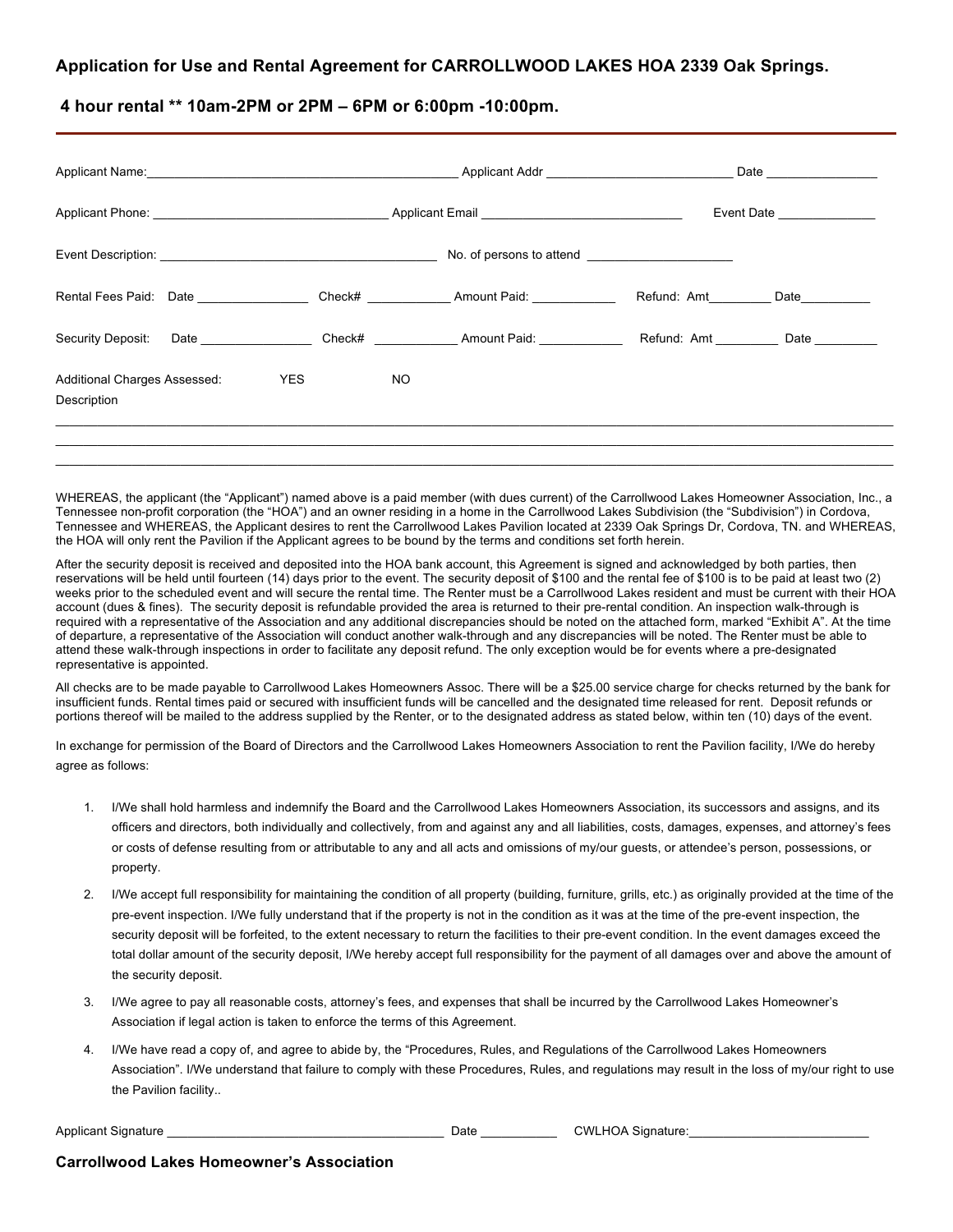## **Application for Use and Rental Agreement for CARROLLWOOD LAKES HOA 2339 Oak Springs.**

**4 hour rental \*\* 10am-2PM or 2PM – 6PM or 6:00pm -10:00pm.**

|                                                    |            |  |     | Applicant Name: No. 2008. Applicant Addr Name: Name: Name of Applicant Addr Name: Name of Applicant Addr Name of Applicant Addr Name of Applicant Addr Name of Applicant Addr Name of Applicant Addr Name of Applicant Addr Na |                                         |      |
|----------------------------------------------------|------------|--|-----|--------------------------------------------------------------------------------------------------------------------------------------------------------------------------------------------------------------------------------|-----------------------------------------|------|
|                                                    |            |  |     |                                                                                                                                                                                                                                | Event Date                              |      |
|                                                    |            |  |     |                                                                                                                                                                                                                                |                                         |      |
|                                                    |            |  |     | Rental Fees Paid: Date _______________________Check# ________________Amount Paid: __________________                                                                                                                           | Refund: Amt                             | Date |
|                                                    |            |  |     | Security Deposit: Date __________________Check# ________________Amount Paid: ______________________                                                                                                                            | Refund: Amt ____________ Date _________ |      |
| <b>Additional Charges Assessed:</b><br>Description | <b>YES</b> |  | NO. |                                                                                                                                                                                                                                |                                         |      |
|                                                    |            |  |     |                                                                                                                                                                                                                                |                                         |      |

WHEREAS, the applicant (the "Applicant") named above is a paid member (with dues current) of the Carrollwood Lakes Homeowner Association, Inc., a Tennessee non-profit corporation (the "HOA") and an owner residing in a home in the Carrollwood Lakes Subdivision (the "Subdivision") in Cordova, Tennessee and WHEREAS, the Applicant desires to rent the Carrollwood Lakes Pavilion located at 2339 Oak Springs Dr, Cordova, TN. and WHEREAS, the HOA will only rent the Pavilion if the Applicant agrees to be bound by the terms and conditions set forth herein.

After the security deposit is received and deposited into the HOA bank account, this Agreement is signed and acknowledged by both parties, then reservations will be held until fourteen (14) days prior to the event. The security deposit of \$100 and the rental fee of \$100 is to be paid at least two (2) weeks prior to the scheduled event and will secure the rental time. The Renter must be a Carrollwood Lakes resident and must be current with their HOA account (dues & fines). The security deposit is refundable provided the area is returned to their pre-rental condition. An inspection walk-through is required with a representative of the Association and any additional discrepancies should be noted on the attached form, marked "Exhibit A". At the time of departure, a representative of the Association will conduct another walk-through and any discrepancies will be noted. The Renter must be able to attend these walk-through inspections in order to facilitate any deposit refund. The only exception would be for events where a pre-designated representative is appointed.

All checks are to be made payable to Carrollwood Lakes Homeowners Assoc. There will be a \$25.00 service charge for checks returned by the bank for insufficient funds. Rental times paid or secured with insufficient funds will be cancelled and the designated time released for rent. Deposit refunds or portions thereof will be mailed to the address supplied by the Renter, or to the designated address as stated below, within ten (10) days of the event.

In exchange for permission of the Board of Directors and the Carrollwood Lakes Homeowners Association to rent the Pavilion facility, I/We do hereby agree as follows:

- 1. I/We shall hold harmless and indemnify the Board and the Carrollwood Lakes Homeowners Association, its successors and assigns, and its officers and directors, both individually and collectively, from and against any and all liabilities, costs, damages, expenses, and attorney's fees or costs of defense resulting from or attributable to any and all acts and omissions of my/our guests, or attendee's person, possessions, or property.
- 2. I/We accept full responsibility for maintaining the condition of all property (building, furniture, grills, etc.) as originally provided at the time of the pre-event inspection. I/We fully understand that if the property is not in the condition as it was at the time of the pre-event inspection, the security deposit will be forfeited, to the extent necessary to return the facilities to their pre-event condition. In the event damages exceed the total dollar amount of the security deposit, I/We hereby accept full responsibility for the payment of all damages over and above the amount of the security deposit.
- 3. I/We agree to pay all reasonable costs, attorney's fees, and expenses that shall be incurred by the Carrollwood Lakes Homeowner's Association if legal action is taken to enforce the terms of this Agreement.
- 4. I/We have read a copy of, and agree to abide by, the "Procedures, Rules, and Regulations of the Carrollwood Lakes Homeowners Association". I/We understand that failure to comply with these Procedures, Rules, and regulations may result in the loss of my/our right to use the Pavilion facility..

Applicant Signature \_\_\_\_\_\_\_\_\_\_\_\_\_\_\_\_\_\_\_\_\_\_\_\_\_\_\_\_\_\_\_\_\_\_\_\_\_\_\_\_ Date \_\_\_\_\_\_\_\_\_\_\_ CWLHOA Signature:\_\_\_\_\_\_\_\_\_\_\_\_\_\_\_\_\_\_\_\_\_\_\_\_\_\_